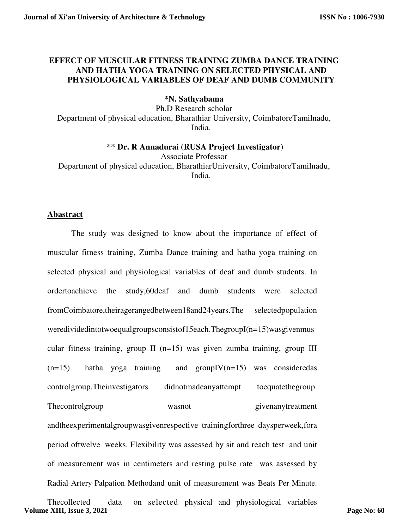# **EFFECT OF MUSCULAR FITNESS TRAINING ZUMBA DANCE TRAINING AND HATHA YOGA TRAINING ON SELECTED PHYSICAL AND PHYSIOLOGICAL VARIABLES OF DEAF AND DUMB COMMUNITY**

# **\*N. Sathyabama**

Ph.D Research scholar Department of physical education, Bharathiar University, CoimbatoreTamilnadu, India.

## **\*\* Dr. R Annadurai (RUSA Project Investigator)**

Associate Professor Department of physical education, BharathiarUniversity, CoimbatoreTamilnadu, India.

# **Abastract**

The study was designed to know about the importance of effect of muscular fitness training, Zumba Dance training and hatha yoga training on selected physical and physiological variables of deaf and dumb students. In ordertoachieve the study,60deaf and dumb students were selected fromCoimbatore,theiragerangedbetween18and24years.The selectedpopulation weredividedintotwoequalgroupsconsistof15each.ThegroupI(n=15)wasgivenmus cular fitness training, group II (n=15) was given zumba training, group III  $(n=15)$  hatha yoga training and groupIV $(n=15)$  was considered as controlgroup.Theinvestigators didnotmadeanyattempt toequatethegroup. Thecontrolgroup wasnot wasnot given any treatment andtheexperimentalgroupwasgivenrespective trainingforthree daysperweek,fora period oftwelve weeks. Flexibility was assessed by sit and reach test and unit of measurement was in centimeters and resting pulse rate was assessed by Radial Artery Palpation Methodand unit of measurement was Beats Per Minute.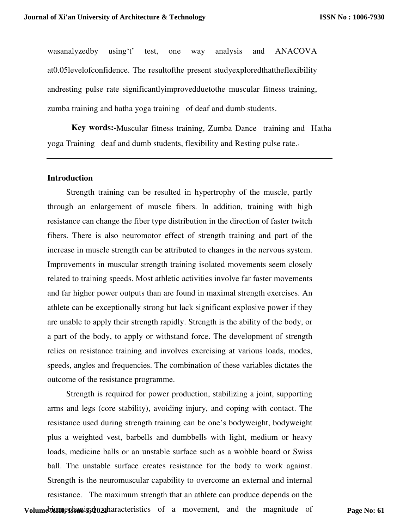wasanalyzedby using't' test, one way analysis and ANACOVA at0.05levelofconfidence. The resultofthe present studyexploredthattheflexibility andresting pulse rate significantlyimprovedduetothe muscular fitness training, zumba training and hatha yoga training of deaf and dumb students.

**Key words:-**Muscular fitness training, Zumba Dance training and Hatha yoga Training deaf and dumb students, flexibility and Resting pulse rate..

# **Introduction**

Strength training can be resulted in hypertrophy of the muscle, partly through an enlargement of muscle fibers. In addition, training with high resistance can change the fiber type distribution in the direction of faster twitch fibers. There is also neuromotor effect of strength training and part of the increase in muscle strength can be attributed to changes in the nervous system. Improvements in muscular strength training isolated movements seem closely related to training speeds. Most athletic activities involve far faster movements and far higher power outputs than are found in maximal strength exercises. An athlete can be exceptionally strong but lack significant explosive power if they are unable to apply their strength rapidly. Strength is the ability of the body, or a part of the body, to apply or withstand force. The development of strength relies on resistance training and involves exercising at various loads, modes, speeds, angles and frequencies. The combination of these variables dictates the outcome of the resistance programme.

Strength is required for power production, stabilizing a joint, supporting arms and legs (core stability), avoiding injury, and coping with contact. The resistance used during strength training can be one's bodyweight, bodyweight plus a weighted vest, barbells and dumbbells with light, medium or heavy loads, medicine balls or an unstable surface such as a wobble board or Swiss ball. The unstable surface creates resistance for the body to work against. Strength is the neuromuscular capability to overcome an external and internal resistance. The maximum strength that an athlete can produce depends on the

Volume **XIII, Essagis, 2021** haracteristics of a movement, and the magnitude of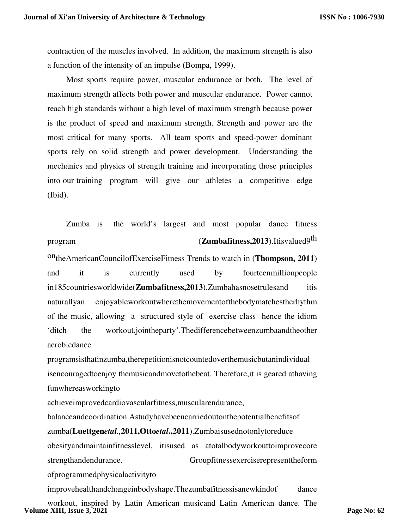contraction of the muscles involved. In addition, the maximum strength is also a function of the intensity of an impulse (Bompa, 1999).

Most sports require power, muscular endurance or both. The level of maximum strength affects both power and muscular endurance. Power cannot reach high standards without a high level of maximum strength because power is the product of speed and maximum strength. Strength and power are the most critical for many sports. All team sports and speed-power dominant sports rely on solid strength and power development. Understanding the mechanics and physics of strength training and incorporating those principles into our training program will give our athletes a competitive edge (Ibid).

Zumba is the world's largest and most popular dance fitness program (**Zumbafitness,2013**).Itisvalued9<sup>th</sup>

ontheAmericanCouncilofExerciseFitness Trends to watch in (**Thompson, 2011**) and it is currently used by fourteenmillionpeople in185countriesworldwide(**Zumbafitness,2013**).Zumbahasnosetrulesand itis naturallyan enjoyableworkoutwherethemovementofthebodymatchestherhythm of the music, allowing a structured style of exercise class hence the idiom 'ditch the workout,jointheparty'.Thedifferencebetweenzumbaandtheother aerobicdance

programsisthatinzumba,therepetitionisnotcountedoverthemusicbutanindividual isencouragedtoenjoy themusicandmovetothebeat. Therefore,it is geared athaving funwhereasworkingto

achieveimprovedcardiovascularfitness,muscularendurance,

balanceandcoordination.Astudyhavebeencarriedoutonthepotentialbenefitsof zumba(**Luettgen***etal.,***2011,Otto***etal***.,2011**).Zumbaisusednotonlytoreduce obesityandmaintainfitnesslevel, itisused as atotalbodyworkouttoimprovecore strengthandendurance. Groupfitnessexerciserepresenttheform ofprogrammedphysicalactivityto

improvehealthandchangeinbodyshape.Thezumbafitnessisanewkindof dance workout, inspired by Latin American musicand Latin American dance. The **Volume XIII, Issue 3, 2021**

**Page No: 62**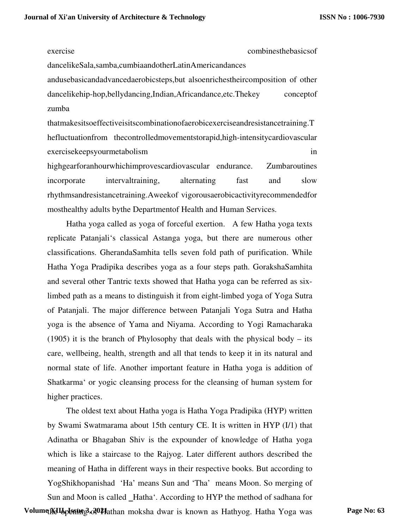exercise combinesthebasicsof

dancelikeSala,samba,cumbiaandotherLatinAmericandances

andusebasicandadvancedaerobicsteps,but alsoenrichestheircomposition of other dancelikehip-hop,bellydancing,Indian,Africandance,etc.Thekey conceptof zumba

thatmakesitsoeffectiveisitscombinationofaerobicexerciseandresistancetraining.T hefluctuationfrom thecontrolledmovementstorapid,high-intensitycardiovascular exercisekeepsyourmetabolism in

highgearforanhourwhichimprovescardiovascular endurance. Zumbaroutines incorporate intervaltraining, alternating fast and slow rhythmsandresistancetraining.Aweekof vigorousaerobicactivityrecommendedfor mosthealthy adults bythe Departmentof Health and Human Services.

Hatha yoga called as yoga of forceful exertion. A few Hatha yoga texts replicate Patanjali's classical Astanga yoga, but there are numerous other classifications. GherandaSamhita tells seven fold path of purification. While Hatha Yoga Pradipika describes yoga as a four steps path. GorakshaSamhita and several other Tantric texts showed that Hatha yoga can be referred as sixlimbed path as a means to distinguish it from eight-limbed yoga of Yoga Sutra of Patanjali. The major difference between Patanjali Yoga Sutra and Hatha yoga is the absence of Yama and Niyama. According to Yogi Ramacharaka (1905) it is the branch of Phylosophy that deals with the physical body – its care, wellbeing, health, strength and all that tends to keep it in its natural and normal state of life. Another important feature in Hatha yoga is addition of Shatkarma' or yogic cleansing process for the cleansing of human system for higher practices.

The oldest text about Hatha yoga is Hatha Yoga Pradipika (HYP) written by Swami Swatmarama about 15th century CE. It is written in HYP (I/1) that Adinatha or Bhagaban Shiv is the expounder of knowledge of Hatha yoga which is like a staircase to the Rajyog. Later different authors described the meaning of Hatha in different ways in their respective books. But according to YogShikhopanishad 'Ha' means Sun and 'Tha' means Moon. So merging of Sun and Moon is called \_Hatha'. According to HYP the method of sadhana for

Volume XII<sub>bp</sub>Usting 3, 20<sup>21</sup> Hathan moksha dwar is known as Hathyog. Hatha Yoga was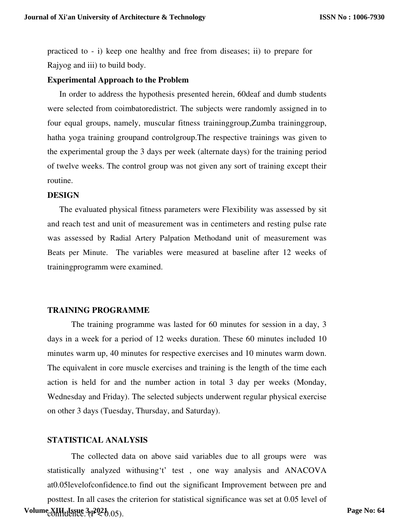practiced to - i) keep one healthy and free from diseases; ii) to prepare for Rajyog and iii) to build body.

## **Experimental Approach to the Problem**

 In order to address the hypothesis presented herein, 60deaf and dumb students were selected from coimbatoredistrict. The subjects were randomly assigned in to four equal groups, namely, muscular fitness traininggroup,Zumba traininggroup, hatha yoga training groupand controlgroup.The respective trainings was given to the experimental group the 3 days per week (alternate days) for the training period of twelve weeks. The control group was not given any sort of training except their routine.

#### **DESIGN**

 The evaluated physical fitness parameters were Flexibility was assessed by sit and reach test and unit of measurement was in centimeters and resting pulse rate was assessed by Radial Artery Palpation Methodand unit of measurement was Beats per Minute. The variables were measured at baseline after 12 weeks of trainingprogramm were examined.

#### **TRAINING PROGRAMME**

The training programme was lasted for 60 minutes for session in a day, 3 days in a week for a period of 12 weeks duration. These 60 minutes included 10 minutes warm up, 40 minutes for respective exercises and 10 minutes warm down. The equivalent in core muscle exercises and training is the length of the time each action is held for and the number action in total 3 day per weeks (Monday, Wednesday and Friday). The selected subjects underwent regular physical exercise on other 3 days (Tuesday, Thursday, and Saturday).

# **STATISTICAL ANALYSIS**

The collected data on above said variables due to all groups were was statistically analyzed withusing't' test , one way analysis and ANACOVA at0.05levelofconfidence*.*to find out the significant Improvement between pre and posttest. In all cases the criterion for statistical significance was set at 0.05 level of Volume XIII, Issue 3<sub>(1</sub>2021<sub>0.05)</sub>.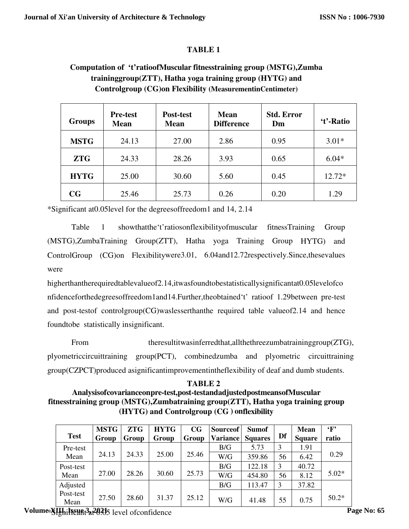# **TABLE 1**

# **Computation of 't'ratioofMuscular fitnesstraining group (MSTG),Zumba traininggroup(ZTT), Hatha yoga training group (HYTG) and Controlgroup (CG)on Flexibility (MeasurementinCentimeter)**

| Groups      | <b>Pre-test</b><br><b>Mean</b> | Post-test<br><b>Mean</b> | <b>Mean</b><br><b>Difference</b> | <b>Std. Error</b><br>Dm | 't'-Ratio |
|-------------|--------------------------------|--------------------------|----------------------------------|-------------------------|-----------|
| <b>MSTG</b> | 24.13                          | 27.00                    | 2.86                             | 0.95                    | $3.01*$   |
| <b>ZTG</b>  | 24.33                          | 28.26                    | 3.93                             | 0.65                    | $6.04*$   |
| <b>HYTG</b> | 25.00                          | 30.60                    | 5.60                             | 0.45                    | 12.72*    |
| $_{\rm CG}$ | 25.46                          | 25.73                    | 0.26                             | 0.20                    | 1.29      |

\*Significant at0.05level for the degreesoffreedom1 and 14, 2.14

Table 1 showthatthe't'ratiosonflexibilityofmuscular fitnessTraining Group (MSTG),ZumbaTraining Group(ZTT), Hatha yoga Training Group HYTG) and ControlGroup (CG)on Flexibilitywere3.01, 6.04and12.72respectively.Since,thesevalues were

higherthantherequiredtablevalueof2.14,itwasfoundtobestatisticallysignificantat0.05levelofco nfidenceforthedegreesoffreedom1and14.Further,theobtained't' ratioof 1.29between pre-test and post-testof controlgroup(CG)waslesserthanthe required table valueof2.14 and hence foundtobe statistically insignificant.

From theresultitwasinferredthat,allthethreezumbatraininggroup(ZTG), plyometriccircuittraining group(PCT), combinedzumba and plyometric circuittraining group(CZPCT)produced asignificantimprovementintheflexibility of deaf and dumb students.

# **TABLE 2 Analysisofcovarianceonpre-test,post-testandadjustedpostmeansofMuscular fitnesstraining group (MSTG),Zumbatraining group(ZTT), Hatha yoga training group (HYTG) and Controlgroup (CG ) onflexibility**

| <b>Test</b>       | <b>MSTG</b><br>Group | ZTG<br>Group | <b>HYTG</b><br>Group | CG<br>Group | Sourceof<br>Variance | <b>Sumof</b><br><b>Squares</b> | Df | <b>Mean</b><br><b>Square</b> | $\mathbf{F}$<br>ratio |
|-------------------|----------------------|--------------|----------------------|-------------|----------------------|--------------------------------|----|------------------------------|-----------------------|
| Pre-test          |                      |              |                      |             | B/G                  | 5.73                           | 3  | 1.91                         |                       |
| Mean              | 24.13                | 24.33        | 25.00                | 25.46       | W/G                  | 359.86                         | 56 | 6.42                         | 0.29                  |
| Post-test         |                      |              |                      |             | B/G                  | 122.18                         | 3  | 40.72                        |                       |
| Mean              | 27.00                | 28.26        | 30.60                | 25.73       | W/G                  | 454.80                         | 56 | 8.12                         | $5.02*$               |
| Adjusted          |                      |              |                      |             | B/G                  | 113.47                         | 3  | 37.82                        |                       |
| Post-test<br>Mean | 27.50                | 28.60        | 31.37                | 25.12       | W/G                  | 41.48                          | 55 | 0.75                         | $50.2*$               |

Volume *YIIhil Feund 3a 20215* level of confidence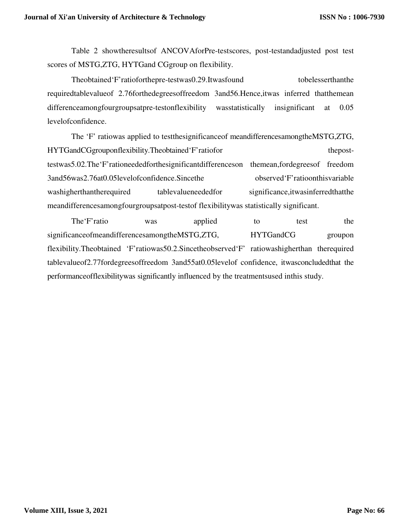Table 2 showtheresultsof ANCOVAforPre-testscores, post-testandadjusted post test scores of MSTG,ZTG, HYTGand CGgroup on flexibility.

Theobtained'F'ratioforthepre-testwas0.29.Itwasfound tobelesserthanthe requiredtablevalueof 2.76forthedegreesoffreedom 3and56.Hence,itwas inferred thatthemean differenceamongfourgroupsatpre-testonflexibility was statistically insignificant at 0.05 levelofconfidence.

The 'F' ratiowas applied to testthesignificanceof meandifferencesamongtheMSTG,ZTG, HYTGandCGgrouponflexibility.Theobtained'F'ratiofor theposttestwas5.02.The'F'rationeededforthesignificantdifferenceson themean,fordegreesof freedom 3and56was2.76at0.05levelofconfidence.Sincethe observed'F'ratioonthisvariable washigherthantherequired tablevalueneededfor significance,itwasinferredthatthe meandifferencesamongfourgroupsatpost-testof flexibilitywas statistically significant.

The 'F' ratio was applied to test the significanceofmeandifferencesamongtheMSTG,ZTG, HYTGandCG groupon flexibility.Theobtained 'F'ratiowas50.2.Sincetheobserved'F' ratiowashigherthan therequired tablevalueof2.77fordegreesoffreedom 3and55at0.05levelof confidence, itwasconcludedthat the performanceofflexibilitywas significantly influenced by the treatmentsused inthis study.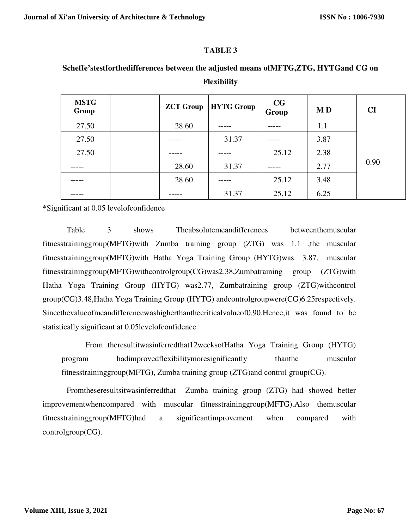# **TABLE 3**

# **Scheffe'stestforthedifferences between the adjusted means ofMFTG,ZTG, HYTGand CG on Flexibility**

| <b>MSTG</b><br>Group | <b>ZCT Group</b> | <b>HYTG Group</b> | $\mathbf{C}\mathbf{G}$<br>Group | <b>MD</b> | <b>CI</b> |
|----------------------|------------------|-------------------|---------------------------------|-----------|-----------|
| 27.50                | 28.60            |                   |                                 | 1.1       |           |
| 27.50                |                  | 31.37             |                                 | 3.87      |           |
| 27.50                |                  |                   | 25.12                           | 2.38      |           |
|                      | 28.60            | 31.37             |                                 | 2.77      | 0.90      |
|                      | 28.60            |                   | 25.12                           | 3.48      |           |
|                      |                  | 31.37             | 25.12                           | 6.25      |           |

\*Significant at 0.05 levelofconfidence

Table 3 shows Theabsolutemeandifferences betweenthemuscular fitnesstraininggroup(MFTG)with Zumba training group (ZTG) was 1.1 ,the muscular fitnesstraininggroup(MFTG)with Hatha Yoga Training Group (HYTG)was 3.87, muscular fitnesstraininggroup(MFTG)withcontrolgroup(CG)was2.38,Zumbatraining group (ZTG)with Hatha Yoga Training Group (HYTG) was2.77, Zumbatraining group (ZTG)withcontrol group(CG)3.48,Hatha Yoga Training Group (HYTG) andcontrolgroupwere(CG)6.25respectively. Sincethevalueofmeandifferencewashigherthanthecriticalvalueof0.90.Hence,it was found to be statistically significant at 0.05levelofconfidence.

From theresultitwasinferredthat12weeksofHatha Yoga Training Group (HYTG) program hadimprovedflexibilitymoresignificantly thanthe muscular fitnesstraininggroup(MFTG), Zumba training group (ZTG)and control group(CG).

Fromtheseresultsitwasinferredthat Zumba training group (ZTG) had showed better improvementwhencompared with muscular fitnesstraininggroup(MFTG).Also themuscular fitnesstraininggroup(MFTG)had a significantimprovement when compared with controlgroup(CG).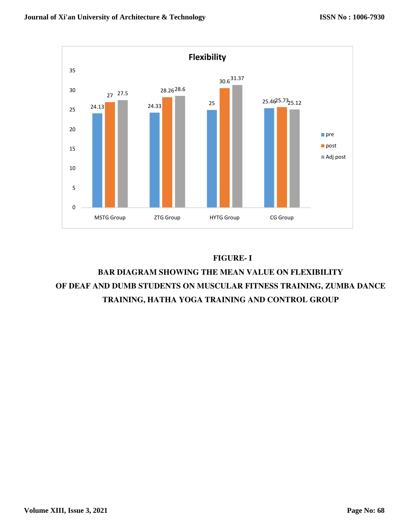

# **FIGURE- I**

# **BAR DIAGRAM SHOWING THE MEAN VALUE ON FLEXIBILITY OF DEAF AND DUMB STUDENTS ON MUSCULAR FITNESS TRAINING, ZUMBA DANCE TRAINING, HATHA YOGA TRAINING AND CONTROL GROUP**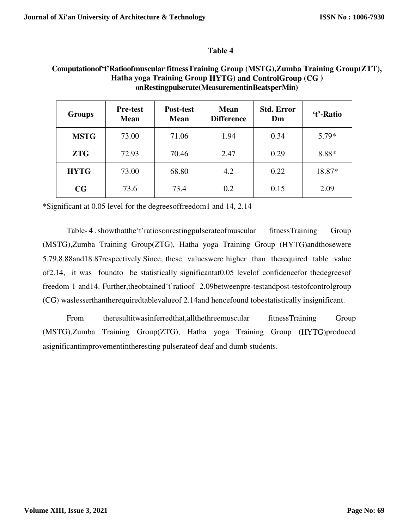# **Table 4**

# **Computationof't'Ratioofmuscular fitnessTraining Group (MSTG),Zumba Training Group(ZTT), Hatha yoga Training Group HYTG) and ControlGroup (CG ) onRestingpulserate(MeasurementinBeatsperMin)**

| <b>Groups</b> | <b>Mean</b><br>Post-test<br><b>Pre-test</b><br><b>Difference</b><br><b>Mean</b><br><b>Mean</b> |       | <b>Std. Error</b><br>Dm | 't'-Ratio |         |
|---------------|------------------------------------------------------------------------------------------------|-------|-------------------------|-----------|---------|
| <b>MSTG</b>   | 73.00                                                                                          | 71.06 | 1.94                    | 0.34      | $5.79*$ |
| <b>ZTG</b>    | 72.93                                                                                          | 70.46 | 2.47                    | 0.29      | 8.88*   |
| <b>HYTG</b>   | 73.00                                                                                          | 68.80 | 4.2                     | 0.22      | 18.87*  |
| CG            | 73.6                                                                                           | 73.4  | 0.2                     | 0.15      | 2.09    |

\*Significant at 0.05 level for the degreesoffreedom1 and 14, 2.14

Table-4. showthatthe 't' ratiosonrestingpulserate of muscular fitness Training Group (MSTG),Zumba Training Group(ZTG), Hatha yoga Training Group (HYTG)andthosewere 5.79,8.88and18.87respectively.Since, these valueswere higher than therequired table value of2.14, it was foundto be statistically significantat0.05 levelof confidencefor thedegreesof freedom 1 and14. Further,theobtained't'ratioof 2.09betweenpre-testandpost-testofcontrolgroup (CG) waslesserthantherequiredtablevalueof 2.14and hencefound tobestatistically insignificant.

From theresultitwasinferredthat,allthethreemuscular fitnessTraining Group (MSTG),Zumba Training Group(ZTG), Hatha yoga Training Group (HYTG)produced asignificantimprovementintheresting pulserateof deaf and dumb students.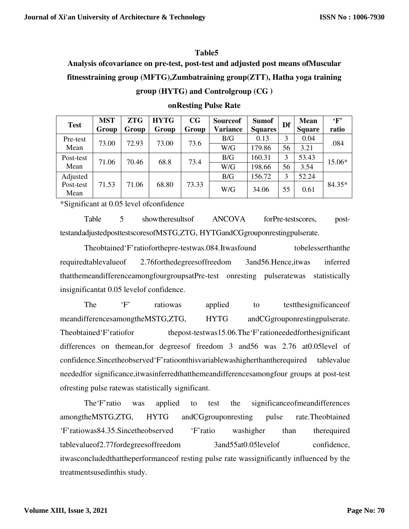# **Table5**

**Analysis ofcovariance on pre-test, post-test and adjusted post means ofMuscular fitnesstraining group (MFTG),Zumbatraining group(ZTT), Hatha yoga training** 

|  |  | group (HYTG) and Controlgroup (CG) |  |
|--|--|------------------------------------|--|
|--|--|------------------------------------|--|

| <b>Test</b> | <b>MST</b> | <b>ZTG</b> | <b>HYTG</b> | CG    | <b>Sourceof</b> | <b>Sumof</b>   | Df | <b>Mean</b>   | $\mathbf{F}$ |
|-------------|------------|------------|-------------|-------|-----------------|----------------|----|---------------|--------------|
|             | Group      | Group      | Group       | Group | <b>Variance</b> | <b>Squares</b> |    | <b>Square</b> | ratio        |
| Pre-test    | 73.00      | 72.93      | 73.00       | 73.6  | B/G             | 0.13           | 3  | 0.04          | .084         |
| Mean        |            |            |             |       | W/G             | 179.86         | 56 | 3.21          |              |
| Post-test   | 71.06      | 70.46      | 68.8        | 73.4  | B/G             | 160.31         | 3  | 53.43         | 15.06*       |
| Mean        |            |            |             |       | W/G             | 198.66         | 56 | 3.54          |              |
| Adjusted    |            |            |             |       | B/G             | 156.72         | 3  | 52.24         |              |
| Post-test   | 71.53      | 71.06      | 68.80       | 73.33 | W/G             | 34.06          | 55 | 0.61          | 84.35*       |
| Mean        |            |            |             |       |                 |                |    |               |              |

## **onResting Pulse Rate**

\*Significant at 0.05 level ofconfidence

Table 5 showtheresultsof ANCOVA forPre-testscores, posttestandadjustedposttestscoresofMSTG,ZTG, HYTGandCGgrouponrestingpulserate.

Theobtained'F'ratioforthepre-testwas.084.Itwasfound tobelesserthanthe requiredtablevalueof 2.76forthedegreesoffreedom 3and56.Hence,itwas inferred thatthemeandifferenceamongfourgroupsatPre-test onresting pulseratewas statistically insignificantat 0.05 levelof confidence.

The 'F' ratiowas applied to testthesignificance of meandifferencesamongtheMSTG,ZTG, HYTG andCGgrouponrestingpulserate. Theobtained'F'ratiofor thepost-testwas15.06.The'F'rationeededforthesignificant differences on themean,for degreesof freedom 3 and56 was 2.76 at0.05level of confidence.Sincetheobserved'F'ratioonthisvariablewashigherthantherequired tablevalue neededfor significance,itwasinferredthatthemeandifferencesamongfour groups at post-test ofresting pulse ratewas statistically significant.

The'F'ratio was applied to test the significanceofmeandifferences amongtheMSTG,ZTG, HYTG andCGgrouponresting pulse rate.Theobtained 'F'ratiowas84.35.Sincetheobserved 'F'ratio washigher than therequired tablevalueof2.77fordegreesoffreedom 3and55at0.05levelof confidence, itwasconcludedthattheperformanceof resting pulse rate wassignificantly influenced by the treatmentsusedinthis study.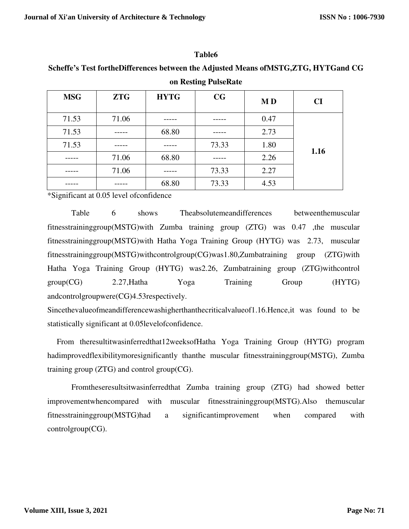#### **Table6**

**Scheffe's Test fortheDifferences between the Adjusted Means ofMSTG,ZTG, HYTGand CG** 

| <b>MSG</b> | <b>ZTG</b> | <b>HYTG</b> | CG    | <b>MD</b> | CI   |
|------------|------------|-------------|-------|-----------|------|
| 71.53      | 71.06      |             |       | 0.47      |      |
| 71.53      |            | 68.80       |       | 2.73      |      |
| 71.53      |            |             | 73.33 | 1.80      |      |
|            | 71.06      | 68.80       |       | 2.26      | 1.16 |
|            | 71.06      |             | 73.33 | 2.27      |      |
|            |            | 68.80       | 73.33 | 4.53      |      |

# **on Resting PulseRate**

\*Significant at 0.05 level ofconfidence

Table 6 shows Theabsolutemeandifferences betweenthemuscular fitnesstraininggroup(MSTG)with Zumba training group (ZTG) was 0.47 ,the muscular fitnesstraininggroup(MSTG)with Hatha Yoga Training Group (HYTG) was 2.73, muscular fitnesstraininggroup(MSTG)withcontrolgroup(CG)was1.80,Zumbatraining group (ZTG)with Hatha Yoga Training Group (HYTG) was2.26, Zumbatraining group (ZTG)withcontrol group(CG) 2.27,Hatha Yoga Training Group (HYTG) andcontrolgroupwere(CG)4.53respectively.

Sincethevalueofmeandifferencewashigherthanthecriticalvalueof1.16.Hence,it was found to be statistically significant at 0.05levelofconfidence.

 From theresultitwasinferredthat12weeksofHatha Yoga Training Group (HYTG) program hadimprovedflexibilitymoresignificantly thanthe muscular fitnesstraininggroup(MSTG), Zumba training group (ZTG) and control group(CG).

Fromtheseresultsitwasinferredthat Zumba training group (ZTG) had showed better improvementwhencompared with muscular fitnesstraininggroup(MSTG).Also themuscular fitnesstraininggroup(MSTG)had a significantimprovement when compared with controlgroup(CG).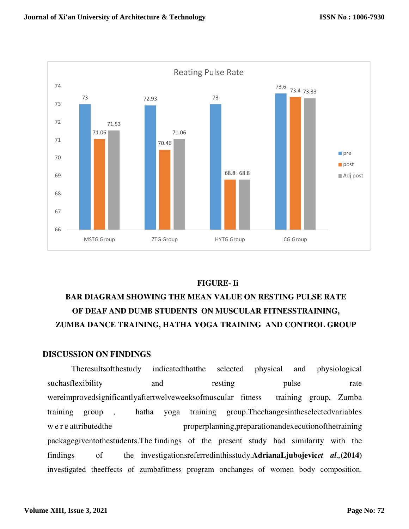

# **FIGURE- Ii**

# **BAR DIAGRAM SHOWING THE MEAN VALUE ON RESTING PULSE RATE OF DEAF AND DUMB STUDENTS ON MUSCULAR FITNESSTRAINING, ZUMBA DANCE TRAINING, HATHA YOGA TRAINING AND CONTROL GROUP**

## **DISCUSSION ON FINDINGS**

Theresultsofthestudy indicatedthatthe selected physical and physiological suchasflexibility and resting pulse rate wereimprovedsignificantlyaftertwelveweeksofmuscular fitness training group, Zumba training group , hatha yoga training group.Thechangesintheselectedvariables w e r e attributed the properplanning, preparationand execution of the training packagegiventothestudents.The findings of the present study had similarity with the findings of the investigationsreferredinthisstudy.**AdrianaLjubojevic***et al.,***(2014)**  investigated theeffects of zumbafitness program onchanges of women body composition.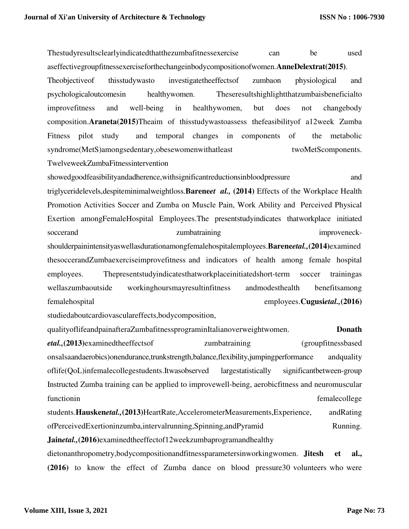Thestudyresultsclearlyindicatedthatthezumbafitnessexercise can be used

aseffectivegroupfitnessexerciseforthechangeinbodycompositionofwomen.**AnneDelextrat(2015)**.

Theobjectiveof thisstudywasto investigatetheeffectsof zumbaon physiological and psychologicaloutcomesin healthywomen. Theseresultshighlightthatzumbaisbeneficialto improvefitness and well-being in healthywomen, but does not changebody composition.**Araneta(2015)**Theaim of thisstudywastoassess thefeasibilityof a12week Zumba Fitness pilot study and temporal changes in components of the metabolic syndrome(MetS)amongsedentary,obesewomenwithatleast twoMetScomponents. TwelveweekZumbaFitnessintervention

showedgoodfeasibilityandadherence,withsignificantreductionsinbloodpressure and triglyceridelevels,despiteminimalweightloss.**Barene***et al.,* **(2014)** Effects of the Workplace Health Promotion Activities Soccer and Zumba on Muscle Pain, Work Ability and Perceived Physical Exertion amongFemaleHospital Employees.The presentstudyindicates thatworkplace initiated soccerand zumbatraining zumbatraining improveneckshoulderpainintensityaswellasdurationamongfemalehospitalemployees.**Barene***etal.,***(2014)**examined thesoccerandZumbaexerciseimprovefitness and indicators of health among female hospital employees. Thepresentstudyindicatesthatworkplaceinitiatedshort-term soccer trainingas wellaszumbaoutside workinghoursmayresultinfitness andmodesthealth benefitsamong femalehospital employees.**Cugusi***etal.,***(2016)** 

studiedaboutcardiovasculareffects,bodycomposition,

qualityoflifeandpainafteraZumbafitnessprograminItalianoverweightwomen. **Donath**  *etal.,***(2013)**examinedtheeffectsof zumbatraining (groupfitnessbased onsalsaandaerobics)onendurance,trunkstrength,balance,flexibility,jumpingperformance andquality oflife(QoL)infemalecollegestudents.Itwasobserved largestatistically significantbetween-group Instructed Zumba training can be applied to improvewell-being, aerobicfitness and neuromuscular functionin femalecollege that the state of the state of the state of the state of the state of the state of the state of the state of the state of the state of the state of the state of the state of the state of the state students.**Hausken***etal.,***(2013)**HeartRate,AccelerometerMeasurements,Experience, andRating

ofPerceivedExertioninzumba,intervalrunning,Spinning,andPyramid Running. **Jain***etal.,***(2016)**examinedtheeffectof12weekzumbaprogramandhealthy

dietonanthropometry,bodycompositionandfitnessparametersinworkingwomen. **Jitesh et al., (2016)** to know the effect of Zumba dance on blood pressure30 volunteers who were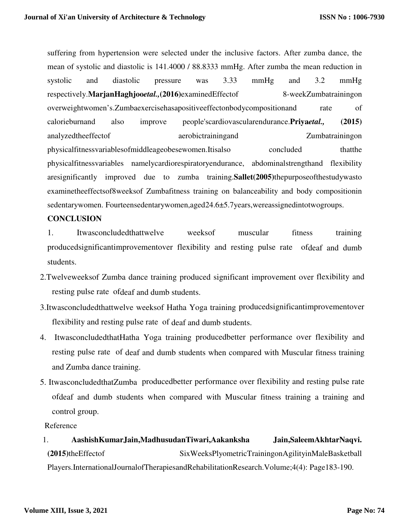suffering from hypertension were selected under the inclusive factors. After zumba dance, the mean of systolic and diastolic is 141.4000 / 88.8333 mmHg. After zumba the mean reduction in systolic and diastolic pressure was 3.33 mmHg and 3.2 mmHg respectively.**MarjanHaghjoo***etal.,***(2016)**examinedEffectof 8-weekZumbatrainingon overweightwomen's.Zumbaexercisehasapositiveeffectonbodycompositionand rate of calorieburnand also improve people'scardiovascularendurance.**Priya***etal.,* **(2015)**  analyzedtheeffectof aerobictrainingand Zumbatrainingon physicalfitnessvariablesofmiddleageobesewomen.Itisalso concluded thatthe physicalfitnessvariables namelycardiorespiratoryendurance, abdominalstrengthand flexibility aresignificantly improved due to zumba training.**Sallet(2005)**thepurposeofthestudywasto examinetheeffectsof8weeksof Zumbafitness training on balanceability and body compositionin sedentarywomen. Fourteensedentarywomen,aged24.6±5.7years,wereassignedintotwogroups.

# **CONCLUSION**

- 1. Itwasconcludedthattwelve weeksof muscular fitness training producedsignificantimprovementover flexibility and resting pulse rate ofdeaf and dumb students.
- 2.Twelveweeksof Zumba dance training produced significant improvement over flexibility and resting pulse rate ofdeaf and dumb students.
- 3.Itwasconcludedthattwelve weeksof Hatha Yoga training producedsignificantimprovementover flexibility and resting pulse rate of deaf and dumb students.
- 4. ItwasconcludedthatHatha Yoga training producedbetter performance over flexibility and resting pulse rate of deaf and dumb students when compared with Muscular fitness training and Zumba dance training.
- 5. ItwasconcludedthatZumba producedbetter performance over flexibility and resting pulse rate ofdeaf and dumb students when compared with Muscular fitness training a training and control group.

Reference

# 1. **AashishKumarJain,MadhusudanTiwari,Aakanksha Jain,SaleemAkhtarNaqvi. (2015)**theEffectof SixWeeksPlyometricTrainingonAgilityinMaleBasketball

Players.InternationalJournalofTherapiesandRehabilitationResearch.Volume;4(4): Page183-190.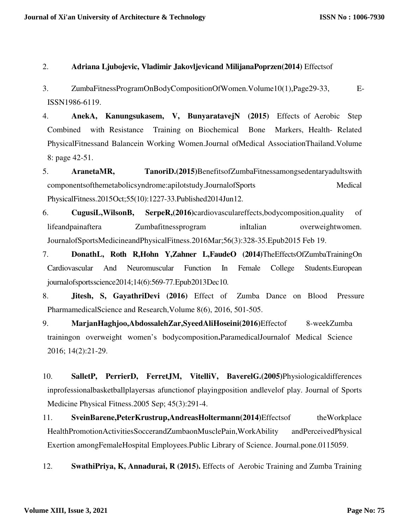2. **Adriana Ljubojevic, Vladimir Jakovljevicand MilijanaPoprzen(2014)** Effectsof

- 3. ZumbaFitnessProgramOnBodyCompositionOfWomen.Volume10(1),Page29-33, E-ISSN1986-6119.
- 4. **AnekA, Kanungsukasem, V, BunyaratavejN (2015)** Effects of Aerobic Step Combined with Resistance Training on Biochemical Bone Markers, Health- Related PhysicalFitnessand Balancein Working Women.Journal ofMedical AssociationThailand.Volume 8: page 42-51.
- 5. **AranetaMR, TanoriD.(2015)**BenefitsofZumbaFitnessamongsedentaryadultswith componentsofthemetabolicsyndrome:apilotstudy.JournalofSports Medical PhysicalFitness.2015Oct;55(10):1227-33.Published2014Jun12.
- 6. **CugusiL,WilsonB, SerpeR,(2016)**cardiovasculareffects,bodycomposition,quality of lifeandpainaftera Zumbafitnessprogram inItalian overweightwomen. JournalofSportsMedicineandPhysicalFitness.2016Mar;56(3):328-35.Epub2015 Feb 19.
- 7. **DonathL, Roth R,Hohn Y,Zahner L,FaudeO (2014)**TheEffectsOfZumbaTrainingOn Cardiovascular And Neuromuscular Function In Female College Students.European journalofsportsscience2014;14(6):569-77.Epub2013Dec10.
- 8. **Jitesh, S, GayathriDevi (2016)** Effect of Zumba Dance on Blood Pressure PharmamedicalScience and Research,Volume 8(6), 2016, 501-505.
- 9. **MarjanHaghjoo,AbdossalehZar,SyeedAliHoseini(2016)**Effectof 8-weekZumba trainingon overweight women's bodycomposition**.**ParamedicalJournalof Medical Science 2016; 14(2):21-29.
- 10. **SalletP, PerrierD, FerretJM, VitelliV, BaverelG.(2005)**Physiologicaldifferences inprofessionalbasketballplayersas afunctionof playingposition andlevelof play. Journal of Sports Medicine Physical Fitness.2005 Sep; 45(3):291-4.
- 11. **SveinBarene,PeterKrustrup,AndreasHoltermann(2014)**Effectsof theWorkplace HealthPromotionActivitiesSoccerandZumbaonMusclePain,WorkAbility andPerceivedPhysical Exertion amongFemaleHospital Employees.Public Library of Science. Journal.pone.0115059.
- 12. **SwathiPriya, K, Annadurai, R (2015).** Effects of Aerobic Training and Zumba Training